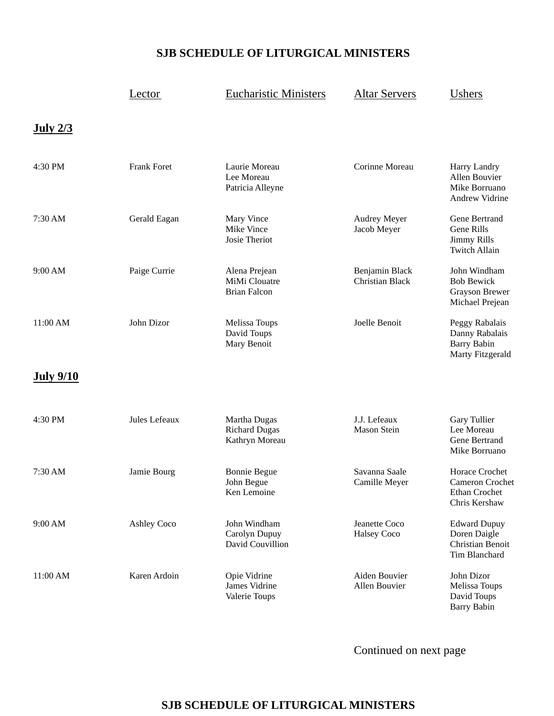## **SJB SCHEDULE OF LITURGICAL MINISTERS**

|                  | Lector             | <b>Eucharistic Ministers</b>                           | <b>Altar Servers</b>                     | Ushers                                                                     |
|------------------|--------------------|--------------------------------------------------------|------------------------------------------|----------------------------------------------------------------------------|
| <u>July 2/3</u>  |                    |                                                        |                                          |                                                                            |
| 4:30 PM          | <b>Frank Foret</b> | Laurie Moreau<br>Lee Moreau<br>Patricia Alleyne        | Corinne Moreau                           | Harry Landry<br>Allen Bouvier<br>Mike Borruano<br>Andrew Vidrine           |
| 7:30 AM          | Gerald Eagan       | Mary Vince<br>Mike Vince<br>Josie Theriot              | <b>Audrey Meyer</b><br>Jacob Meyer       | Gene Bertrand<br>Gene Rills<br><b>Jimmy Rills</b><br><b>Twitch Allain</b>  |
| 9:00 AM          | Paige Currie       | Alena Prejean<br>MiMi Clouatre<br><b>Brian Falcon</b>  | Benjamin Black<br><b>Christian Black</b> | John Windham<br><b>Bob Bewick</b><br>Grayson Brewer<br>Michael Prejean     |
| 11:00 AM         | John Dizor         | Melissa Toups<br>David Toups<br>Mary Benoit            | Joelle Benoit                            | Peggy Rabalais<br>Danny Rabalais<br><b>Barry Babin</b><br>Marty Fitzgerald |
| <b>July 9/10</b> |                    |                                                        |                                          |                                                                            |
| 4:30 PM          | Jules Lefeaux      | Martha Dugas<br><b>Richard Dugas</b><br>Kathryn Moreau | J.J. Lefeaux<br>Mason Stein              | Gary Tullier<br>Lee Moreau<br>Gene Bertrand<br>Mike Borruano               |
| 7:30 AM          | Jamie Bourg        | <b>Bonnie Begue</b><br>John Begue<br>Ken Lemoine       | Savanna Saale<br>Camille Meyer           | Horace Crochet<br>Cameron Crochet<br>Ethan Crochet<br>Chris Kershaw        |
| 9:00 AM          | <b>Ashley Coco</b> | John Windham<br>Carolyn Dupuy<br>David Couvillion      | Jeanette Coco<br><b>Halsey Coco</b>      | <b>Edward Dupuy</b><br>Doren Daigle<br>Christian Benoit<br>Tim Blanchard   |
| 11:00 AM         | Karen Ardoin       | Opie Vidrine<br>James Vidrine<br>Valerie Toups         | Aiden Bouvier<br>Allen Bouvier           | John Dizor<br>Melissa Toups<br>David Toups<br><b>Barry Babin</b>           |

Continued on next page

## **SJB SCHEDULE OF LITURGICAL MINISTERS**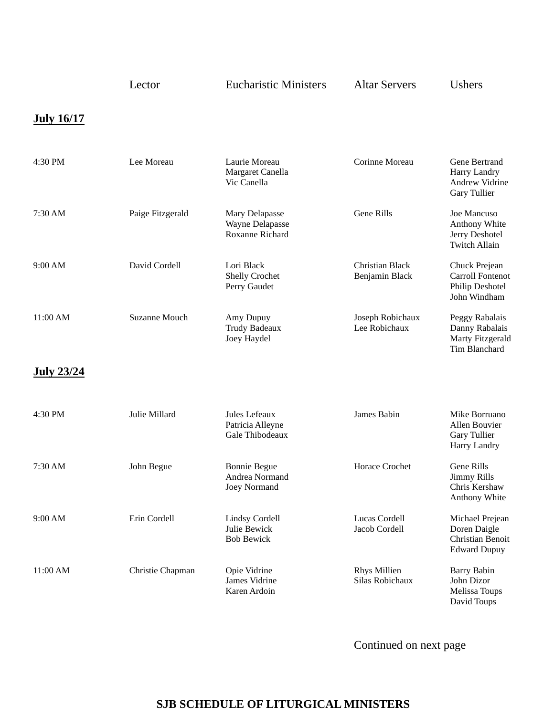|                   | <u>Lector</u>        | <b>Eucharistic Ministers</b>                               | <b>Altar Servers</b>                     | <b>Ushers</b>                                                                      |
|-------------------|----------------------|------------------------------------------------------------|------------------------------------------|------------------------------------------------------------------------------------|
| <b>July 16/17</b> |                      |                                                            |                                          |                                                                                    |
| 4:30 PM           | Lee Moreau           | Laurie Moreau<br>Margaret Canella<br>Vic Canella           | Corinne Moreau                           | Gene Bertrand<br>Harry Landry<br>Andrew Vidrine<br>Gary Tullier                    |
| 7:30 AM           | Paige Fitzgerald     | Mary Delapasse<br>Wayne Delapasse<br>Roxanne Richard       | Gene Rills                               | Joe Mancuso<br>Anthony White<br>Jerry Deshotel<br><b>Twitch Allain</b>             |
| 9:00 AM           | David Cordell        | Lori Black<br>Shelly Crochet<br>Perry Gaudet               | <b>Christian Black</b><br>Benjamin Black | Chuck Prejean<br><b>Carroll Fontenot</b><br><b>Philip Deshotel</b><br>John Windham |
| 11:00 AM          | <b>Suzanne Mouch</b> | Amy Dupuy<br><b>Trudy Badeaux</b><br>Joey Haydel           | Joseph Robichaux<br>Lee Robichaux        | Peggy Rabalais<br>Danny Rabalais<br>Marty Fitzgerald<br>Tim Blanchard              |
| <b>July 23/24</b> |                      |                                                            |                                          |                                                                                    |
| 4:30 PM           | Julie Millard        | Jules Lefeaux<br>Patricia Alleyne<br>Gale Thibodeaux       | James Babin                              | Mike Borruano<br>Allen Bouvier<br>Gary Tullier<br>Harry Landry                     |
| 7:30 AM           | John Begue           | <b>Bonnie Begue</b><br>Andrea Normand<br>Joey Normand      | Horace Crochet                           | <b>Gene Rills</b><br><b>Jimmy Rills</b><br>Chris Kershaw<br>Anthony White          |
| 9:00 AM           | Erin Cordell         | <b>Lindsy Cordell</b><br>Julie Bewick<br><b>Bob Bewick</b> | Lucas Cordell<br>Jacob Cordell           | Michael Prejean<br>Doren Daigle<br>Christian Benoit<br><b>Edward Dupuy</b>         |
| 11:00 AM          | Christie Chapman     | Opie Vidrine<br>James Vidrine<br>Karen Ardoin              | <b>Rhys Millien</b><br>Silas Robichaux   | <b>Barry Babin</b><br>John Dizor<br>Melissa Toups<br>David Toups                   |

Continued on next page

## **SJB SCHEDULE OF LITURGICAL MINISTERS**